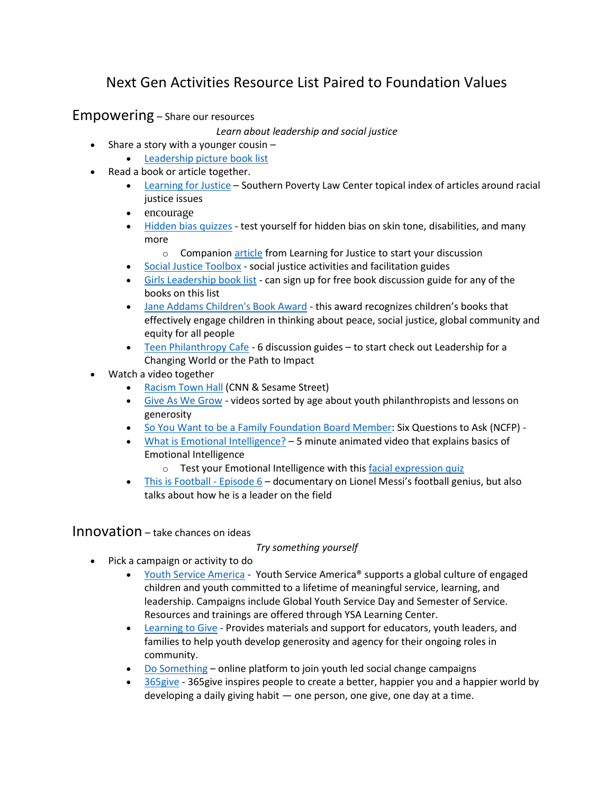# Next Gen Activities Resource List Paired to Foundation Values

Empowering – Share our resources

*Learn about leadership and social justice*

- Share a story with a younger cousin  $-$ 
	- [Leadership picture book list](https://seattle.bibliocommons.com/list/share/76517066_ekqlibrary/1831759509_kids_as_leaders?fbclid=IwAR1pf5xFEr4jnEL-IB5_9AO9-it1r3BPzHgMGf5FXufE9VHlvvI_1tDfhQo)
- Read a book or article together.
	- [Learning for Justice](http://www.learningforjustice.org/) Southern Poverty Law Center topical index of articles around racial justice issues
	- encourage
	- [Hidden bias quizzes](https://implicit.harvard.edu/implicit/takeatest.html) test yourself for hidden bias on skin tone, disabilities, and many more
		- o Companion [article](https://www.learningforjustice.org/professional-development/test-yourself-for-hidden-bias) from Learning for Justice to start your discussion
	- [Social Justice Toolbox](http://www.socialjusticetoolbox.com/) social justice activities and facilitation guides
	- [Girls Leadership book list](https://girlsleadership.org/blog/book-notes-recommendations-for-teens/) can sign up for free book discussion guide for any of the books on this list
	- [Jane Addams Children's Book Award](https://www.janeaddamschildrensbookaward.org/book-award/) this award recognizes children's books that effectively engage children in thinking about peace, social justice, global community and equity for all people
	- [Teen Philanthropy Cafe](https://www.exponentphilanthropy.org/publication/teen-philanthropy-cafe/) 6 discussion guides to start check out Leadership for a Changing World or the Path to Impact
- Watch a video together
	- [Racism Town Hall](https://www.cnn.com/2020/06/06/app-news-section/cnn-sesame-street-race-town-hall-app-june-6-2020-app/index.html) (CNN & Sesame Street)
	- [Give As We Grow](https://giveaswegrow.org/kids-teens/) videos sorted by age about youth philanthropists and lessons on generosity
	- [So You Want to be a Family Foundation Board Member:](https://www.youtube.com/watch?v=3BfF12tuWyY) Six Questions to Ask (NCFP) -
	- [What is Emotional Intelligence?](https://www.youtube.com/watch?v=LgUCyWhJf6s&t=246s) 5 minute animated video that explains basics of Emotional Intelligence
		- o Test your Emotional Intelligence with thi[s facial expression quiz](https://greatergood.berkeley.edu/quizzes/ei_quiz)
	- [This is Football -](https://www.amazon.com/WONDER/dp/B086HWXZ6D/ref=sr_1_3?dchild=1&keywords=messi&qid=1615572709&s=instant-video&sr=1-3) Episode 6 documentary on Lionel Messi's football genius, but also talks about how he is a leader on the field

### Innovation – take chances on ideas

### *Try something yourself*

- Pick a campaign or activity to do
	- [Youth Service America](https://ysa.org/) Youth Service America® supports a global culture of engaged children and youth committed to a lifetime of meaningful service, learning, and leadership. Campaigns include Global Youth Service Day and Semester of Service. Resources and trainings are offered through YSA Learning Center.
	- [Learning to Give](http://www.learningtogive.org/resources/search?search_api_views_fulltext=simplesafeservice) Provides materials and support for educators, youth leaders, and families to help youth develop generosity and agency for their ongoing roles in community.
	- [Do Something](http://www.dosomething.org/) online platform to join youth led social change campaigns
	- 365 give 365 give inspires people to create a better, happier you and a happier world by developing a daily giving habit — one person, one give, one day at a time.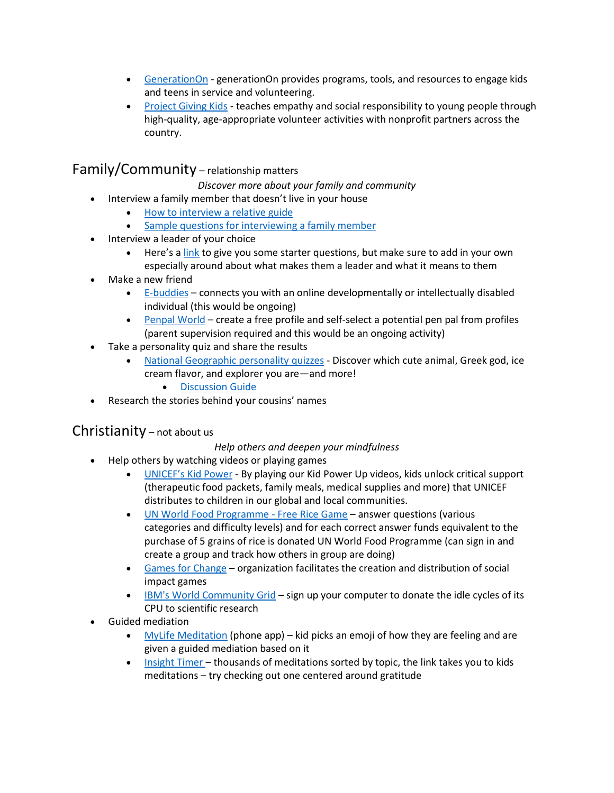- [GenerationOn](https://generationon.org/) generationOn provides programs, tools, and resources to engage kids and teens in service and volunteering.
- [Project Giving Kids](https://www.projectgivingkids.org/) teaches empathy and social responsibility to young people through high-quality, age-appropriate volunteer activities with nonprofit partners across the country.

## Family/Community – relationship matters

*Discover more about your family and community*

- Interview a family member that doesn't live in your house
	- [How to interview a relative guide](http://www.readwritethink.org/files/resources/lesson_images/lesson805/interview.pdf)
	- [Sample questions for interviewing a family member](https://rulethisroost.com/65-interview-questions-ask-parents/)
- Interview a leader of your choice
	- Here's a [link](http://www.readwritethink.org/files/resources/printouts/PossibleinterviewQ.pdf) to give you some starter questions, but make sure to add in your own especially around about what makes them a leader and what it means to them
- Make a new friend
	- [E-buddies](https://www.bestbuddies.org/what-we-do/ebuddies/) connects you with an online developmentally or intellectually disabled individual (this would be ongoing)
	- [Penpal World](https://www.penpalworld.com/) create a free profile and self-select a potential pen pal from profiles (parent supervision required and this would be an ongoing activity)
- Take a personality quiz and share the results
	- [National Geographic personality quizzes](https://kids.nationalgeographic.com/games/personality-quizzes) Discover which cute animal, Greek god, ice cream flavor, and explorer you are—and more!
		- [Discussion Guide](https://longbrakefamilyfoundation.sharepoint.com/:w:/s/TLFFSharedFiles/EbhFL0n71nJNnM3VmXE4V14Bnr7bvD796uUbk-MCg1auyA?e=KKB1sU)
- Research the stories behind your cousins' names

### Christianity – not about us

### *Help others and deepen your mindfulness*

- Help others by watching videos or playing games
	- [UNICEF's K](https://www.unicefkidpower.org/)id Power By playing our Kid Power Up videos, kids unlock critical support (therapeutic food packets, family meals, medical supplies and more) that UNICEF distributes to children in our global and local communities.
	- [UN World Food Programme -](http://www.freerice.com/) Free Rice Game answer questions (various categories and difficulty levels) and for each correct answer funds equivalent to the purchase of 5 grains of rice is donated UN World Food Programme (can sign in and create a group and track how others in group are doing)
	- [Games for Change](http://www.gamesforchange.org/) organization facilitates the creation and distribution of social impact games
	- [IBM's World Community Grid](http://www.worldcommunitygrid.org/) sign up your computer to donate the idle cycles of its CPU to scientific research
- Guided mediation
	- [MyLife Meditation](https://my.life/) (phone app) kid picks an emoji of how they are feeling and are given a guided mediation based on it
	- [Insight Timer](https://insighttimer.com/meditation-topics/kids-meditation)  thousands of meditations sorted by topic, the link takes you to kids meditations – try checking out one centered around gratitude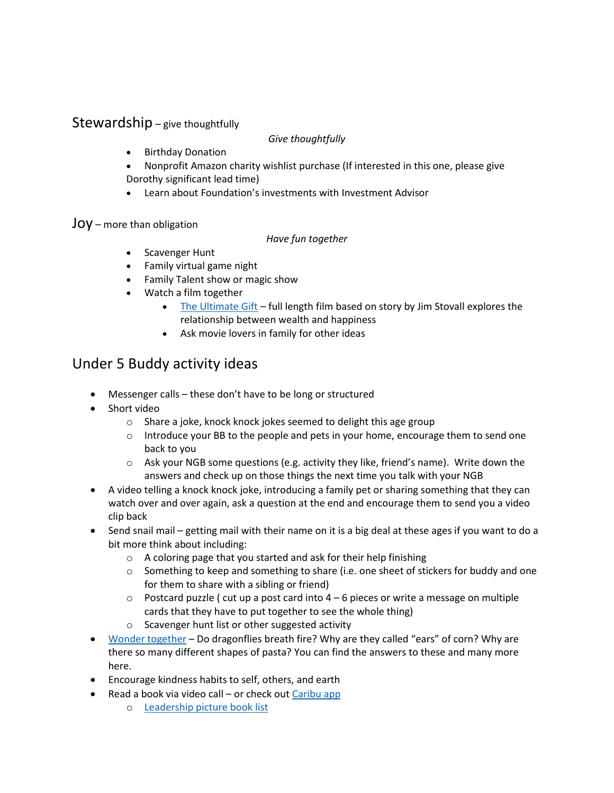### Stewardship – give thoughtfully

#### *Give thoughtfully*

- Birthday Donation
- Nonprofit Amazon charity wishlist purchase (If interested in this one, please give Dorothy significant lead time)
- Learn about Foundation's investments with Investment Advisor

### Joy – more than obligation

#### *Have fun together*

- Scavenger Hunt
- Family virtual game night
- Family Talent show or magic show
- Watch a film together
	- [The Ultimate Gift](https://www.amazon.com/Ultimate-Gift-Abigail-Breslin/dp/B079RY4NYD/ref=sr_1_1?crid=2QUV1VIIGN4I8&dchild=1&keywords=the+ultimate+gift&qid=1615541450&s=instant-video&sprefix=the+ultimate+gif%2Cinstant-video%2C841&sr=1-1) full length film based on story by Jim Stovall explores the relationship between wealth and happiness
	- Ask movie lovers in family for other ideas

# Under 5 Buddy activity ideas

- Messenger calls these don't have to be long or structured
- Short video
	- o Share a joke, knock knock jokes seemed to delight this age group
	- $\circ$  Introduce your BB to the people and pets in your home, encourage them to send one back to you
	- $\circ$  Ask your NGB some questions (e.g. activity they like, friend's name). Write down the answers and check up on those things the next time you talk with your NGB
- A video telling a knock knock joke, introducing a family pet or sharing something that they can watch over and over again, ask a question at the end and encourage them to send you a video clip back
- Send snail mail getting mail with their name on it is a big deal at these ages if you want to do a bit more think about including:
	- $\circ$  A coloring page that you started and ask for their help finishing
	- o Something to keep and something to share (i.e. one sheet of stickers for buddy and one for them to share with a sibling or friend)
	- $\circ$  Postcard puzzle ( cut up a post card into  $4-6$  pieces or write a message on multiple cards that they have to put together to see the whole thing)
	- o Scavenger hunt list or other suggested activity
- [Wonder together](https://www.wonderopolis.org/) Do dragonflies breath fire? Why are they called "ears" of corn? Why are there so many different shapes of pasta? You can find the answers to these and many more here.
- Encourage kindness habits to self, others, and earth
- Read a book via video call or check out [Caribu app](https://caribu.com/)
	- o [Leadership picture book list](https://seattle.bibliocommons.com/list/share/76517066_ekqlibrary/1831759509_kids_as_leaders?fbclid=IwAR1pf5xFEr4jnEL-IB5_9AO9-it1r3BPzHgMGf5FXufE9VHlvvI_1tDfhQo)